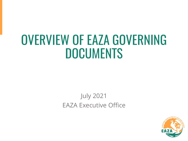## OVERVIEW OF EAZA GOVERNING DOCUMENTS

## July 2021 EAZA Executive Office

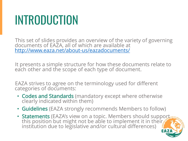## INTRODUCTION

This set of slides provides an overview of the variety of governing documents of EAZA, all of which are available at <http://www.eaza.net/about-us/eazadocuments/>

It presents a simple structure for how these documents relate to each other and the scope of each type of document.

EAZA strives to agree on the terminology used for different categories of documents:

- Codes and Standards (mandatory except where otherwise clearly indicated within them)
- Guidelines (EAZA strongly recommends Members to follow)
- Statements (EAZA's view on a topic. Members should support this position but might not be able to implement it in their. institution due to legislative and/or cultural differences)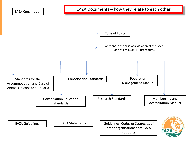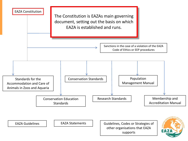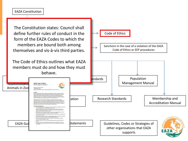The Constitution states: Council shall define further rules of conduct in the form of the EAZA Codes to which the members are bound both among themselves and vis-à-vis third parties.

The Code of Ethics outlines what EAZA members must do and how they must behave.



Sanctions in the case of a violation of the EAZA Code of Ethics or EEP procedures

Code of Ethics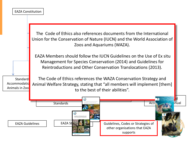| <b>EAZA Constitution</b>       |                                                                                                                                                                                                                                                                            |  |  |  |  |  |  |  |
|--------------------------------|----------------------------------------------------------------------------------------------------------------------------------------------------------------------------------------------------------------------------------------------------------------------------|--|--|--|--|--|--|--|
|                                | The Code of Ethics also references documents from the International<br>Union for the Conservation of Nature (IUCN) and the World Association of<br>Zoos and Aquariums (WAZA).                                                                                              |  |  |  |  |  |  |  |
| Standard:                      | EAZA Members should follow the IUCN Guidelines on the Use of Ex situ<br>Management for Species Conservation (2014) and Guidelines for<br>Reintroductions and Other Conservation Translocations (2013).<br>The Code of Ethics references the WAZA Conservation Strategy and |  |  |  |  |  |  |  |
| Accommodatio<br>Animals in Zoo | Animal Welfare Strategy, stating that "all members will implement [them]<br>to the best of their abilities".                                                                                                                                                               |  |  |  |  |  |  |  |
|                                | <b>Standards</b><br>Acci<br>inual<br><b>LUCN</b><br>Guidelines for Reintroductions and                                                                                                                                                                                     |  |  |  |  |  |  |  |
| <b>EAZA Guidelines</b>         | EAZA St<br>Guidelines, Codes or Strategies of<br>other organisations that EAZA<br>supports                                                                                                                                                                                 |  |  |  |  |  |  |  |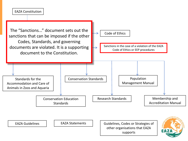



EAZA Guidelines | | EAZA Statements | | Guidelines, Codes or Strategies of other organisations that EAZA supports

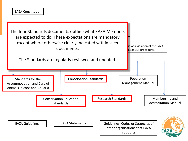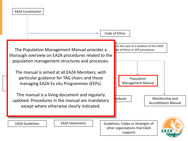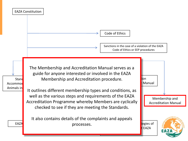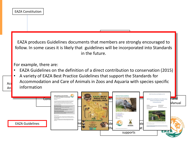|           | <b>EAZA Constitution</b>                                                                                                                                                                                                                                                                |                                                                                                                                                                      |                |  |                  |  |                                         |               |  |  |  |
|-----------|-----------------------------------------------------------------------------------------------------------------------------------------------------------------------------------------------------------------------------------------------------------------------------------------|----------------------------------------------------------------------------------------------------------------------------------------------------------------------|----------------|--|------------------|--|-----------------------------------------|---------------|--|--|--|
|           |                                                                                                                                                                                                                                                                                         |                                                                                                                                                                      |                |  |                  |  |                                         |               |  |  |  |
|           |                                                                                                                                                                                                                                                                                         | EAZA produces Guidelines documents that members are strongly encouraged to<br>follow. In some cases it is likely that guidelines will be incorporated into Standards | in the future. |  |                  |  |                                         |               |  |  |  |
| Acd<br>An | For example, there are:<br>EAZA Guidelines on the definition of a direct contribution to conservation (2015)<br>A variety of EAZA Best Practice Guidelines that support the Standards for<br>Accommodation and Care of Animals in Zoos and Aquaria with species specific<br>information |                                                                                                                                                                      |                |  |                  |  |                                         |               |  |  |  |
|           | Cons<br><b>EAZA Guidelines</b>                                                                                                                                                                                                                                                          |                                                                                                                                                                      |                |  | <b>ZOO RASEI</b> |  | EAZA Falconiformes and Strigiformes TAO | and<br>Manual |  |  |  |
|           |                                                                                                                                                                                                                                                                                         |                                                                                                                                                                      |                |  | supports         |  |                                         |               |  |  |  |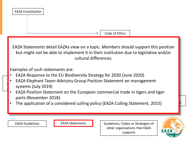